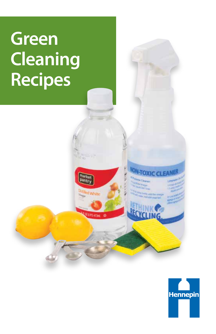# **Green Cleaning Recipes**



**ON-TOXIC CLEAR** 

d White

**NOPOSTAN @**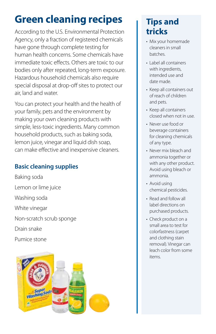# **Green cleaning recipes**

According to the U.S. Environmental Protection Agency, only a fraction of registered chemicals have gone through complete testing for human health concerns. Some chemicals have immediate toxic effects. Others are toxic to our bodies only after repeated, long-term exposure. Hazardous household chemicals also require special disposal at drop-off sites to protect our air, land and water.

You can protect your health and the health of your family, pets and the environment by making your own cleaning products with simple, less-toxic ingredients. Many common household products, such as baking soda, lemon juice, vinegar and liquid dish soap, can make effective and inexpensive cleaners.

### **Basic cleaning supplies**

Baking soda Lemon or lime juice Washing soda White vinegar Non-scratch scrub sponge Drain snake Pumice stone



# **Tips and tricks**

- Mix your homemade cleaners in small batches.
- Label all containers with ingredients, intended use and date made.
- Keep all containers out of reach of children and pets.
- Keep all containers closed when not in use.
- Never use food or beverage containers for cleaning chemicals of any type.
- Never mix bleach and ammonia together or with any other product. Avoid using bleach or ammonia.
- Avoid using chemical pesticides.
- Read and follow all label directions on purchased products.
- Check product on a small area to test for colorfastness (carpet and clothing stain removal). Vinegar can leach color from some items.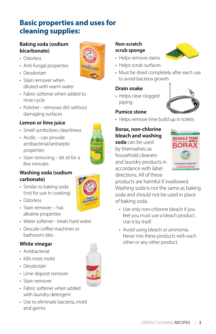# **Basic properties and uses for cleaning supplies:**

#### **Baking soda (sodium bicarbonate)**

- Odorless
- Anti-fungal properties
- Deodorizer
- Stain remover when diluted with warm water
- Fabric softener when added to rinse cycle
- Polisher removes dirt without damaging surfaces

#### **Lemon or lime juice**

- Smell symbolizes cleanliness
- Acidic can provide antibacterial/antiseptic properties



• Stain removing – let sit for a few minutes

#### **Washing soda (sodium carbonate)**

- Similar to baking soda (not for use in cooking)
- Odorless
- Stain remover has alkaline properties
- Water softener treats hard water
- Descale coffee machines or bathroom tiles

#### **White vinegar**

- Antibacterial
- Kills most mold
- Deodorizer
- Lime deposit remover
- Stain remover
- Fabric softener when added with laundry detergent
- Use to eliminate bacteria, mold and germs



#### **Non-scratch scrub sponge**

- Helps remove stains
- Helps scrub surfaces
- Must be dried completely after each use to avoid bacteria growth

#### **Drain snake**

• Helps clear clogged piping



#### **Pumice stone**

• Helps remove lime build up in toilets

#### **Borax, non-chlorine bleach and washing**

**soda** can be used by themselves as household cleaners and laundry products in accordance with label directions. All of these



products are harmful if swallowed. Washing soda is not the same as baking soda and should not be used in place of baking soda.

- Use only non-chlorine bleach if you feel you must use a bleach product. Use it by itself.
- Avoid using bleach or ammonia. Never mix these products with each other or any other product.

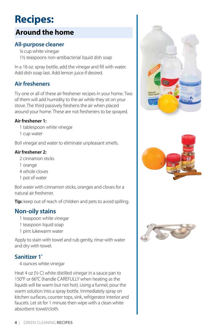# **Recipes:**

# **Around the home**

#### **All-purpose cleaner**

¼ cup white vinegar 1½ teaspoons non-antibacterial liquid dish soap

In a 16 oz. spray bottle, add the vinegar and fill with water. Add dish soap last. Add lemon juice if desired.

#### **Air fresheners**

Try one or all of these air freshener recipes in your home. Two of them will add humidity to the air while they sit on your stove. The third passively freshens the air when placed around your home. These are not fresheners to be sprayed.

#### **Air freshener 1:**

- 1 tablespoon white vinegar
- 1 cup water

Boil vinegar and water to eliminate unpleasant smells.

#### **Air freshener 2:**

- 2 cinnamon sticks
- 1 orange
- 4 whole cloves
- 1 pot of water

Boil water with cinnamon sticks, oranges and cloves for a natural air freshener.

**Tip:** keep out of reach of children and pets to avoid spilling.

#### **Non-oily stains**

- 1 teaspoon white vinegar
- 1 teaspoon liquid soap
- 1 pint lukewarm water

Apply to stain with towel and rub gently, rinse with water and dry with towel.

#### **Sanitizer 1\***

4 ounces white vinegar

Heat 4 oz (½ C) white distilled vinegar in a sauce pan to 150°F or 66°C (handle CAREFULLY when heating as the liquids will be warm but not hot). Using a funnel, pour the warm solution into a spray bottle. Immediately spray on kitchen surfaces, counter tops, sink, refrigerator interior and faucets. Let sit for 1 minute then wipe with a clean white absorbent towel/cloth.





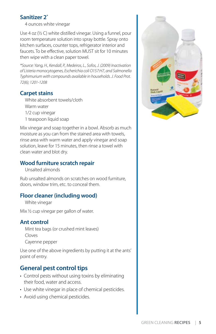#### **Sanitizer 2\***

4 ounces white vinegar

Use 4 oz (½ C) white distilled vinegar. Using a funnel, pour room temperature solution into spray bottle. Spray onto kitchen surfaces, counter tops, refrigerator interior and faucets. To be effective, solution MUST sit for 10 minutes then wipe with a clean paper towel.

*\*Source: Yang, H., Kendall, P., Medeiros, L., Sofos, J. (2009) Inactivation of Listeria monocytogenes, Escherichia coli O157:H7, and Salmonella Typhimurium with compounds available in households. J. Food Prot. 72(6); 1201-1208*

#### **Carpet stains**

White absorbent towels/cloth Warm water 1/2 cup vinegar 1 teaspoon liquid soap

Mix vinegar and soap together in a bowl. Absorb as much moisture as you can from the stained area with towels, rinse area with warm water and apply vinegar and soap solution, leave for 15 minutes, then rinse a towel with clean water and blot dry.

#### **Wood furniture scratch repair**

Unsalted almonds

Rub unsalted almonds on scratches on wood furniture, doors, window trim, etc. to conceal them.

#### **Floor cleaner (including wood)**

White vinegar

Mix ½ cup vinegar per gallon of water.

#### **Ant control**

Mint tea bags (or crushed mint leaves) Cloves Cayenne pepper

Use one of the above ingredients by putting it at the ants' point of entry.

#### **General pest control tips**

- Control pests without using toxins by eliminating their food, water and access.
- Use white vinegar in place of chemical pesticides.
- Avoid using chemical pesticides.

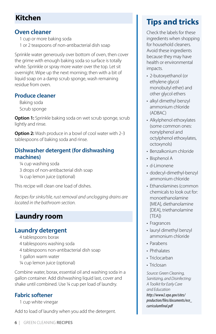### **Kitchen**

#### **Oven cleaner**

1 cup or more baking soda

1 or 2 teaspoons of non-antibacterial dish soap

Sprinkle water generously over bottom of oven, then cover the grime with enough baking soda so surface is totally white. Sprinkle or spray more water over the top. Let sit overnight. Wipe up the next morning; then with a bit of liquid soap on a damp scrub sponge, wash remaining residue from oven.

#### **Produce cleaner**

Baking soda Scrub sponge

**Option 1:** Sprinkle baking soda on wet scrub sponge, scrub lightly and rinse.

**Option 2:** Wash produce in a bowl of cool water with 2-3 tablespoons of baking soda and rinse.

#### **Dishwasher detergent (for dishwashing machines)**

¼ cup washing soda 3 drops of non-antibacterial dish soap ¼ cup lemon juice (optional)

This recipe will clean one load of dishes.

*Recipes for sinks/tile, rust removal and unclogging drains are located in the bathroom section.* 

# **Laundry room**

#### **Laundry detergent**

- 4 tablespoons borax
- 4 tablespoons washing soda
- 4 tablespoons non-antibacterial dish soap
- 1 gallon warm water
- ¼ cup lemon juice (optional)

Combine water, borax, essential oil and washing soda in a gallon container. Add dishwashing liquid last, cover and shake until combined. Use ¼ cup per load of laundry.

#### **Fabric softener**

1 cup white vinegar

Add to load of laundry when you add the detergent.

# **Tips and tricks**

 Check the labels for these ingredients when shopping for household cleaners. Avoid these ingredients because they may have health or environmental impacts.

- 2-butoxyethanol (or ethylene glycol monobutyl ether) and other glycol ethers
- alkyl dimethyl benzyl ammonium chloride (ADBAC)
- Alkylphenol ethoxylates (some common ones: nonylphenol and octylphenol ethoxylates, octoxynols)
- Benzalkonium chloride
- Bisphenol A
- d-Limonene
- dodecyl-dimethyl-benzyl ammonium chloride
- Ethanolamines (common chemicals to look out for: monoethanolamine [MEA], diethanolamine [DEA], triethanolamine [TEA])
- Fragrances
- lauryl dimethyl benzyl ammonium chloride
- Parabens
- Phthalates
- Triclocarban
- Triclosan

*Source: Green Cleaning, Sanitizing, and Disinfecting: A Toolkit for Early Care and Education http://www2.epa.gov/sites/ production/files/documents/ece\_ curriculumfinal.pdf*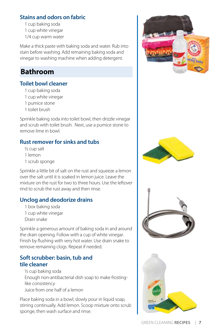#### **Stains and odors on fabric**

1 cup baking soda

1 cup white vinegar

1/4 cup warm water

Make a thick paste with baking soda and water. Rub into stain before washing. Add remaining baking soda and vinegar to washing machine when adding detergent.

### **Bathroom**

#### **Toilet bowl cleaner**

- 1 cup baking soda
- 1 cup white vinegar
- 1 pumice stone
- 1 toilet brush

Sprinkle baking soda into toilet bowl, then drizzle vinegar and scrub with toilet brush. Next, use a pumice stone to remove lime in bowl.

#### **Rust remover for sinks and tubs**

- ½ cup salt
- 1 lemon
- 1 scrub sponge

Sprinkle a little bit of salt on the rust and squeeze a lemon over the salt until it is soaked in lemon juice. Leave the mixture on the rust for two to three hours. Use the leftover rind to scrub the rust away and then rinse.

#### **Unclog and deodorize drains**

1 box baking soda 1 cup white vinegar Drain snake

Sprinkle a generous amount of baking soda in and around the drain opening. Follow with a cup of white vinegar. Finish by flushing with very hot water. Use drain snake to remove remaining clogs. Repeat if needed.

#### **Soft scrubber: basin, tub and tile cleaner**

½ cup baking soda Enough non-antibacterial dish soap to make frostinglike consistency Juice from one half of a lemon

Place baking soda in a bowl; slowly pour in liquid soap, stirring continually. Add lemon. Scoop mixture onto scrub sponge, then wash surface and rinse.